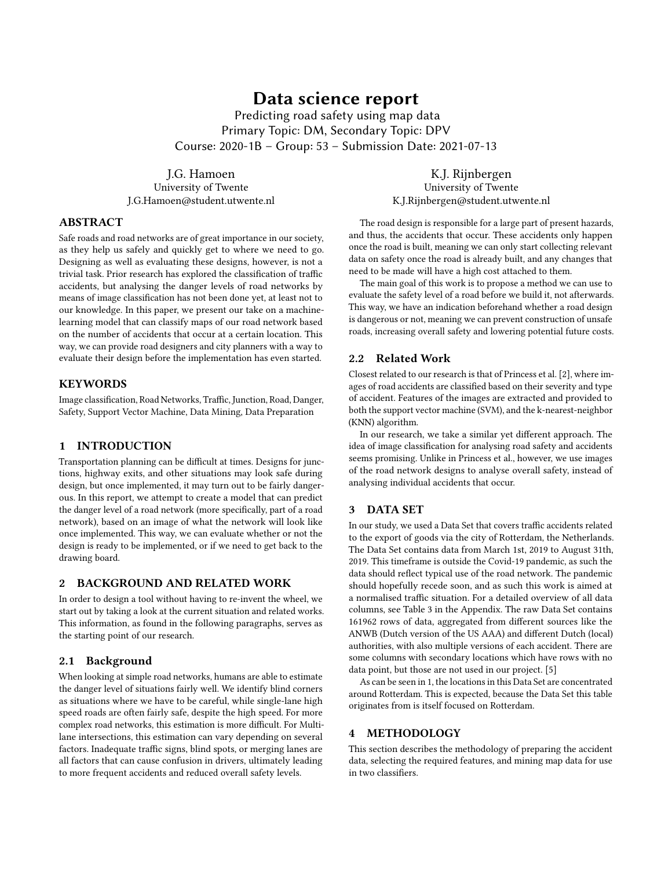# Data science report

Predicting road safety using map data Primary Topic: DM, Secondary Topic: DPV Course: 2020-1B – Group: 53 – Submission Date: 2021-07-13

J.G. Hamoen University of Twente J.G.Hamoen@student.utwente.nl

### ABSTRACT

Safe roads and road networks are of great importance in our society, as they help us safely and quickly get to where we need to go. Designing as well as evaluating these designs, however, is not a trivial task. Prior research has explored the classification of traffic accidents, but analysing the danger levels of road networks by means of image classification has not been done yet, at least not to our knowledge. In this paper, we present our take on a machinelearning model that can classify maps of our road network based on the number of accidents that occur at a certain location. This way, we can provide road designers and city planners with a way to evaluate their design before the implementation has even started.

### **KEYWORDS**

Image classification, Road Networks, Traffic, Junction, Road, Danger, Safety, Support Vector Machine, Data Mining, Data Preparation

### 1 INTRODUCTION

Transportation planning can be difficult at times. Designs for junctions, highway exits, and other situations may look safe during design, but once implemented, it may turn out to be fairly dangerous. In this report, we attempt to create a model that can predict the danger level of a road network (more specifically, part of a road network), based on an image of what the network will look like once implemented. This way, we can evaluate whether or not the design is ready to be implemented, or if we need to get back to the drawing board.

#### 2 BACKGROUND AND RELATED WORK

In order to design a tool without having to re-invent the wheel, we start out by taking a look at the current situation and related works. This information, as found in the following paragraphs, serves as the starting point of our research.

### 2.1 Background

When looking at simple road networks, humans are able to estimate the danger level of situations fairly well. We identify blind corners as situations where we have to be careful, while single-lane high speed roads are often fairly safe, despite the high speed. For more complex road networks, this estimation is more difficult. For Multilane intersections, this estimation can vary depending on several factors. Inadequate traffic signs, blind spots, or merging lanes are all factors that can cause confusion in drivers, ultimately leading to more frequent accidents and reduced overall safety levels.

K.J. Rijnbergen University of Twente K.J.Rijnbergen@student.utwente.nl

The road design is responsible for a large part of present hazards, and thus, the accidents that occur. These accidents only happen once the road is built, meaning we can only start collecting relevant data on safety once the road is already built, and any changes that need to be made will have a high cost attached to them.

The main goal of this work is to propose a method we can use to evaluate the safety level of a road before we build it, not afterwards. This way, we have an indication beforehand whether a road design is dangerous or not, meaning we can prevent construction of unsafe roads, increasing overall safety and lowering potential future costs.

### 2.2 Related Work

Closest related to our research is that of Princess et al. [\[2\]](#page-5-0), where images of road accidents are classified based on their severity and type of accident. Features of the images are extracted and provided to both the support vector machine (SVM), and the k-nearest-neighbor (KNN) algorithm.

In our research, we take a similar yet different approach. The idea of image classification for analysing road safety and accidents seems promising. Unlike in Princess et al., however, we use images of the road network designs to analyse overall safety, instead of analysing individual accidents that occur.

#### 3 DATA SET

In our study, we used a Data Set that covers traffic accidents related to the export of goods via the city of Rotterdam, the Netherlands. The Data Set contains data from March 1st, 2019 to August 31th, 2019. This timeframe is outside the Covid-19 pandemic, as such the data should reflect typical use of the road network. The pandemic should hopefully recede soon, and as such this work is aimed at a normalised traffic situation. For a detailed overview of all data columns, see Table [3](#page-6-0) in the Appendix. The raw Data Set contains 161962 rows of data, aggregated from different sources like the ANWB (Dutch version of the US AAA) and different Dutch (local) authorities, with also multiple versions of each accident. There are some columns with secondary locations which have rows with no data point, but those are not used in our project. [\[5\]](#page-5-1)

As can be seen in [1,](#page-1-0) the locations in this Data Set are concentrated around Rotterdam. This is expected, because the Data Set this table originates from is itself focused on Rotterdam.

#### 4 METHODOLOGY

This section describes the methodology of preparing the accident data, selecting the required features, and mining map data for use in two classifiers.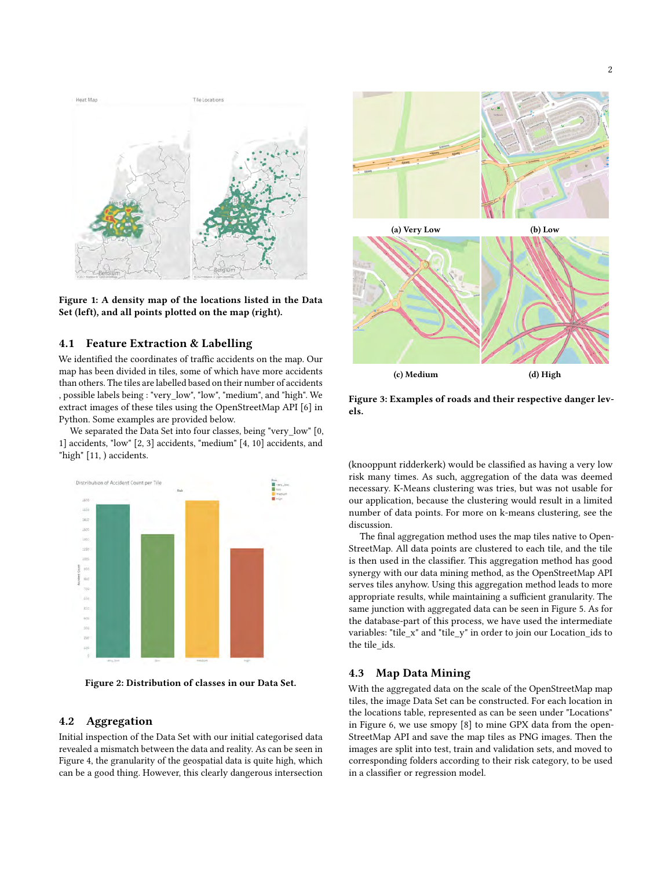<span id="page-1-0"></span>

Figure 1: A density map of the locations listed in the Data Set (left), and all points plotted on the map (right).

#### 4.1 Feature Extraction & Labelling

We identified the coordinates of traffic accidents on the map. Our map has been divided in tiles, some of which have more accidents than others. The tiles are labelled based on their number of accidents , possible labels being : "very\_low", "low", "medium", and "high". We extract images of these tiles using the OpenStreetMap API [\[6\]](#page-5-2) in Python. Some examples are provided below.

We separated the Data Set into four classes, being "very low" [0, 1] accidents, "low" [2, 3] accidents, "medium" [4, 10] accidents, and "high" [11, ) accidents.





#### 4.2 Aggregation

Initial inspection of the Data Set with our initial categorised data revealed a mismatch between the data and reality. As can be seen in Figure [4,](#page-2-0) the granularity of the geospatial data is quite high, which can be a good thing. However, this clearly dangerous intersection



Figure 3: Examples of roads and their respective danger levels.

(knooppunt ridderkerk) would be classified as having a very low risk many times. As such, aggregation of the data was deemed necessary. K-Means clustering was tries, but was not usable for our application, because the clustering would result in a limited number of data points. For more on k-means clustering, see the discussion.

The final aggregation method uses the map tiles native to Open-StreetMap. All data points are clustered to each tile, and the tile is then used in the classifier. This aggregation method has good synergy with our data mining method, as the OpenStreetMap API serves tiles anyhow. Using this aggregation method leads to more appropriate results, while maintaining a sufficient granularity. The same junction with aggregated data can be seen in Figure [5.](#page-2-1) As for the database-part of this process, we have used the intermediate variables: "tile\_x" and "tile\_y" in order to join our Location\_ids to the tile\_ids.

#### 4.3 Map Data Mining

With the aggregated data on the scale of the OpenStreetMap map tiles, the image Data Set can be constructed. For each location in the locations table, represented as can be seen under "Locations" in Figure [6,](#page-2-2) we use smopy [\[8\]](#page-5-3) to mine GPX data from the open-StreetMap API and save the map tiles as PNG images. Then the images are split into test, train and validation sets, and moved to corresponding folders according to their risk category, to be used in a classifier or regression model.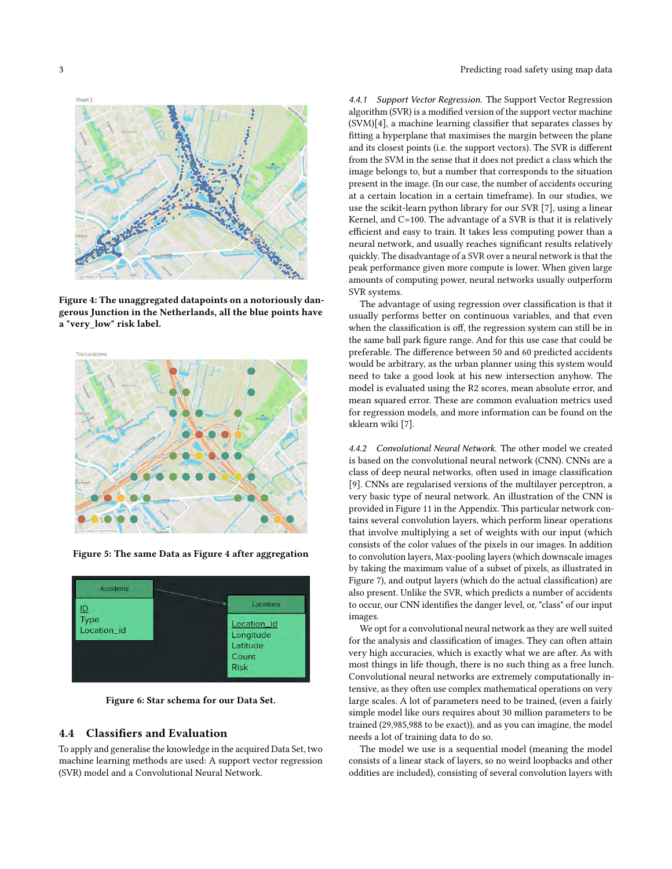<span id="page-2-0"></span>

Figure 4: The unaggregated datapoints on a notoriously dangerous Junction in the Netherlands, all the blue points have a "very\_low" risk label.

<span id="page-2-1"></span>

Figure 5: The same Data as Figure [4](#page-2-0) after aggregation

<span id="page-2-2"></span>

Figure 6: Star schema for our Data Set.

#### 4.4 Classifiers and Evaluation

To apply and generalise the knowledge in the acquired Data Set, two machine learning methods are used: A support vector regression (SVR) model and a Convolutional Neural Network.

4.4.1 Support Vector Regression. The Support Vector Regression algorithm (SVR) is a modified version of the support vector machine (SVM)[\[4\]](#page-5-4), a machine learning classifier that separates classes by fitting a hyperplane that maximises the margin between the plane and its closest points (i.e. the support vectors). The SVR is different from the SVM in the sense that it does not predict a class which the image belongs to, but a number that corresponds to the situation present in the image. (In our case, the number of accidents occuring at a certain location in a certain timeframe). In our studies, we use the scikit-learn python library for our SVR [\[7\]](#page-5-5), using a linear Kernel, and C=100. The advantage of a SVR is that it is relatively efficient and easy to train. It takes less computing power than a neural network, and usually reaches significant results relatively quickly. The disadvantage of a SVR over a neural network is that the peak performance given more compute is lower. When given large amounts of computing power, neural networks usually outperform SVR systems.

The advantage of using regression over classification is that it usually performs better on continuous variables, and that even when the classification is off, the regression system can still be in the same ball park figure range. And for this use case that could be preferable. The difference between 50 and 60 predicted accidents would be arbitrary, as the urban planner using this system would need to take a good look at his new intersection anyhow. The model is evaluated using the R2 scores, mean absolute error, and mean squared error. These are common evaluation metrics used for regression models, and more information can be found on the sklearn wiki [\[7\]](#page-5-5).

4.4.2 Convolutional Neural Network. The other model we created is based on the convolutional neural network (CNN). CNNs are a class of deep neural networks, often used in image classification [\[9\]](#page-5-6). CNNs are regularised versions of the multilayer perceptron, a very basic type of neural network. An illustration of the CNN is provided in Figure [11](#page-7-0) in the Appendix. This particular network contains several convolution layers, which perform linear operations that involve multiplying a set of weights with our input (which consists of the color values of the pixels in our images. In addition to convolution layers, Max-pooling layers (which downscale images by taking the maximum value of a subset of pixels, as illustrated in Figure [7\)](#page-3-0), and output layers (which do the actual classification) are also present. Unlike the SVR, which predicts a number of accidents to occur, our CNN identifies the danger level, or, "class" of our input images.

We opt for a convolutional neural network as they are well suited for the analysis and classification of images. They can often attain very high accuracies, which is exactly what we are after. As with most things in life though, there is no such thing as a free lunch. Convolutional neural networks are extremely computationally intensive, as they often use complex mathematical operations on very large scales. A lot of parameters need to be trained, (even a fairly simple model like ours requires about 30 million parameters to be trained (29,985,988 to be exact)), and as you can imagine, the model needs a lot of training data to do so.

The model we use is a sequential model (meaning the model consists of a linear stack of layers, so no weird loopbacks and other oddities are included), consisting of several convolution layers with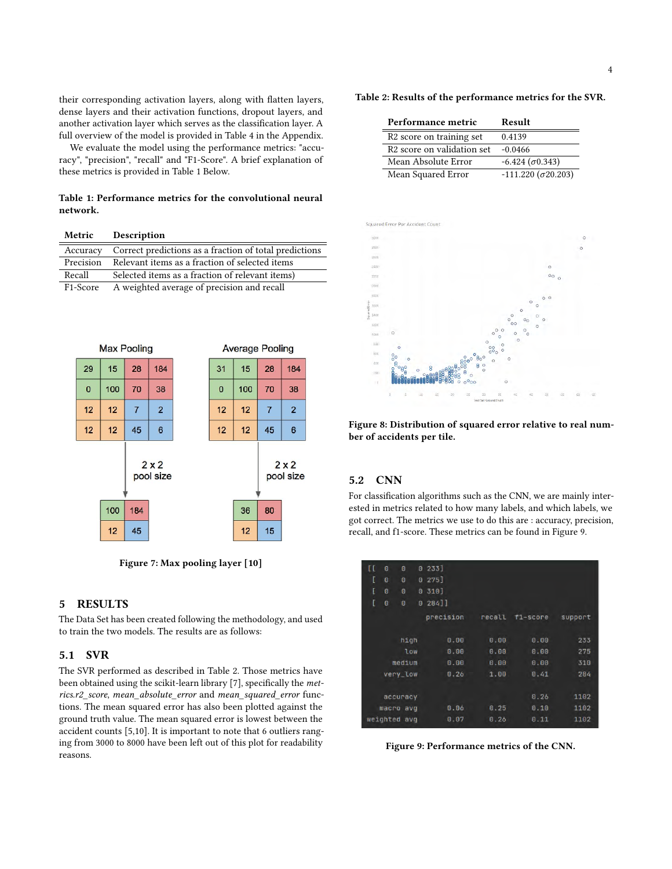their corresponding activation layers, along with flatten layers, dense layers and their activation functions, dropout layers, and another activation layer which serves as the classification layer. A full overview of the model is provided in Table [4](#page-6-1) in the Appendix.

We evaluate the model using the performance metrics: "accuracy", "precision", "recall" and "F1-Score". A brief explanation of these metrics is provided in Table [1](#page-3-1) Below.

<span id="page-3-1"></span>Table 1: Performance metrics for the convolutional neural network.

<span id="page-3-0"></span>

| Metric           |                                                        | Description    |                |                                            |              |                        |                |                  |  |
|------------------|--------------------------------------------------------|----------------|----------------|--------------------------------------------|--------------|------------------------|----------------|------------------|--|
| Accuracy         | Correct predictions as a fraction of total predictions |                |                |                                            |              |                        |                |                  |  |
| Precision        | Relevant items as a fraction of selected items         |                |                |                                            |              |                        |                |                  |  |
| Recall           | Selected items as a fraction of relevant items)        |                |                |                                            |              |                        |                |                  |  |
| F1-Score         |                                                        |                |                | A weighted average of precision and recall |              |                        |                |                  |  |
|                  |                                                        |                |                |                                            |              |                        |                |                  |  |
|                  |                                                        |                |                |                                            |              |                        |                |                  |  |
|                  |                                                        |                |                |                                            |              |                        |                |                  |  |
|                  |                                                        |                |                |                                            |              |                        |                |                  |  |
|                  |                                                        |                |                |                                            |              |                        |                |                  |  |
| 29               | 15                                                     | 28             | 184            |                                            | 31           | 15                     | 28             | 184              |  |
| $\overline{0}$   | 100                                                    | 70             | 38             |                                            | $\mathbf{0}$ | 100                    | 70             | 38               |  |
| 12               | 12                                                     | $\overline{7}$ | $\overline{2}$ |                                            | 12           | 12                     | $\overline{7}$ | $\overline{2}$   |  |
| 12               | 12                                                     | 45             | 6              |                                            | 12           | 12                     | 45             | 6                |  |
| 2x2<br>pool size |                                                        |                |                |                                            |              |                        |                | 2x2<br>pool size |  |
|                  | 100                                                    | 184            |                |                                            |              | 36                     | 80             |                  |  |
|                  | 12                                                     | 45             |                |                                            |              | 12                     | 15             |                  |  |
|                  |                                                        | Max Pooling    |                |                                            |              | <b>Average Pooling</b> |                |                  |  |

Figure 7: Max pooling layer [\[10\]](#page-5-7)

#### 5 RESULTS

The Data Set has been created following the methodology, and used to train the two models. The results are as follows:

### 5.1 SVR

The SVR performed as described in Table [2.](#page-3-2) Those metrics have been obtained using the scikit-learn library [\[7\]](#page-5-5), specifically the metrics.r2\_score, mean\_absolute\_error and mean\_squared\_error functions. The mean squared error has also been plotted against the ground truth value. The mean squared error is lowest between the accident counts [5,10]. It is important to note that 6 outliers ranging from 3000 to 8000 have been left out of this plot for readability reasons.

<span id="page-3-2"></span>

| Performance metric                     | Result                     |
|----------------------------------------|----------------------------|
| R <sub>2</sub> score on training set   | 0.4139                     |
| R <sub>2</sub> score on validation set | $-0.0466$                  |
| Mean Absolute Error                    | $-6.424 (\sigma 0.343)$    |
| Mean Squared Error                     | $-111.220 (\sigma 20.203)$ |



Figure 8: Distribution of squared error relative to real number of accidents per tile.

#### 5.2 CNN

For classification algorithms such as the CNN, we are mainly interested in metrics related to how many labels, and which labels, we got correct. The metrics we use to do this are : accuracy, precision, recall, and f1-score. These metrics can be found in Figure [9.](#page-3-3)

<span id="page-3-3"></span>

| H | ø        | Θ            |          | $0.233$ ] |        |          |         |
|---|----------|--------------|----------|-----------|--------|----------|---------|
| ſ | $\theta$ | $\theta$     |          | $0.275$ ] |        |          |         |
| ſ | $\theta$ | Θ            | O.       | 310]      |        |          |         |
| t | ø        | Θ            | $\theta$ | 28411     |        |          |         |
|   |          |              |          | precision | recall | f1-score | support |
|   |          | high         |          | 0.00      | 0.00   | 0.00     | 233     |
|   |          | low          |          | 0.00      | 0.00   | 0.00     | 275     |
|   |          | medium       |          | 0.00      | 0.00   | 0.00     | 310     |
|   |          | very_low     |          | 0.26      | 1.00   | 0.41     | 284     |
|   |          |              |          |           |        |          |         |
|   |          | accuracy     |          |           |        | 0.26     | 1102    |
|   |          | macro avq    |          | 0.06      | 0.25   | 0.10     | 1102    |
|   |          | weighted avg |          | 0.07      | 0.20   | 0.11     | 1102    |
|   |          |              |          |           |        |          |         |

Figure 9: Performance metrics of the CNN.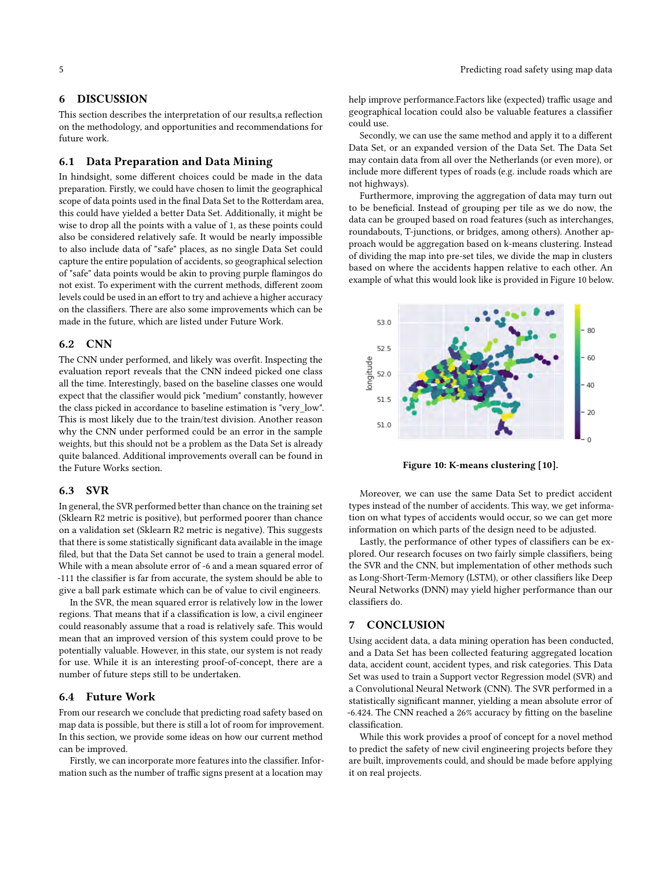### 6 DISCUSSION

This section describes the interpretation of our results,a reflection on the methodology, and opportunities and recommendations for future work.

### 6.1 Data Preparation and Data Mining

In hindsight, some different choices could be made in the data preparation. Firstly, we could have chosen to limit the geographical scope of data points used in the final Data Set to the Rotterdam area, this could have yielded a better Data Set. Additionally, it might be wise to drop all the points with a value of 1, as these points could also be considered relatively safe. It would be nearly impossible to also include data of "safe" places, as no single Data Set could capture the entire population of accidents, so geographical selection of "safe" data points would be akin to proving purple flamingos do not exist. To experiment with the current methods, different zoom levels could be used in an effort to try and achieve a higher accuracy on the classifiers. There are also some improvements which can be made in the future, which are listed under Future Work.

### 6.2 CNN

The CNN under performed, and likely was overfit. Inspecting the evaluation report reveals that the CNN indeed picked one class all the time. Interestingly, based on the baseline classes one would expect that the classifier would pick "medium" constantly, however the class picked in accordance to baseline estimation is "very\_low". This is most likely due to the train/test division. Another reason why the CNN under performed could be an error in the sample weights, but this should not be a problem as the Data Set is already quite balanced. Additional improvements overall can be found in the Future Works section.

#### 6.3 SVR

In general, the SVR performed better than chance on the training set (Sklearn R2 metric is positive), but performed poorer than chance on a validation set (Sklearn R2 metric is negative). This suggests that there is some statistically significant data available in the image filed, but that the Data Set cannot be used to train a general model. While with a mean absolute error of -6 and a mean squared error of -111 the classifier is far from accurate, the system should be able to give a ball park estimate which can be of value to civil engineers.

In the SVR, the mean squared error is relatively low in the lower regions. That means that if a classification is low, a civil engineer could reasonably assume that a road is relatively safe. This would mean that an improved version of this system could prove to be potentially valuable. However, in this state, our system is not ready for use. While it is an interesting proof-of-concept, there are a number of future steps still to be undertaken.

#### 6.4 Future Work

From our research we conclude that predicting road safety based on map data is possible, but there is still a lot of room for improvement. In this section, we provide some ideas on how our current method can be improved.

Firstly, we can incorporate more features into the classifier. Information such as the number of traffic signs present at a location may

help improve performance.Factors like (expected) traffic usage and geographical location could also be valuable features a classifier could use.

Secondly, we can use the same method and apply it to a different Data Set, or an expanded version of the Data Set. The Data Set may contain data from all over the Netherlands (or even more), or include more different types of roads (e.g. include roads which are not highways).

Furthermore, improving the aggregation of data may turn out to be beneficial. Instead of grouping per tile as we do now, the data can be grouped based on road features (such as interchanges, roundabouts, T-junctions, or bridges, among others). Another approach would be aggregation based on k-means clustering. Instead of dividing the map into pre-set tiles, we divide the map in clusters based on where the accidents happen relative to each other. An example of what this would look like is provided in Figure [10](#page-4-0) below.

<span id="page-4-0"></span>

Figure 10: K-means clustering [\[10\]](#page-5-7).

Moreover, we can use the same Data Set to predict accident types instead of the number of accidents. This way, we get information on what types of accidents would occur, so we can get more information on which parts of the design need to be adjusted.

Lastly, the performance of other types of classifiers can be explored. Our research focuses on two fairly simple classifiers, being the SVR and the CNN, but implementation of other methods such as Long-Short-Term-Memory (LSTM), or other classifiers like Deep Neural Networks (DNN) may yield higher performance than our classifiers do.

#### 7 CONCLUSION

Using accident data, a data mining operation has been conducted, and a Data Set has been collected featuring aggregated location data, accident count, accident types, and risk categories. This Data Set was used to train a Support vector Regression model (SVR) and a Convolutional Neural Network (CNN). The SVR performed in a statistically significant manner, yielding a mean absolute error of -6.424. The CNN reached a 26% accuracy by fitting on the baseline classification.

While this work provides a proof of concept for a novel method to predict the safety of new civil engineering projects before they are built, improvements could, and should be made before applying it on real projects.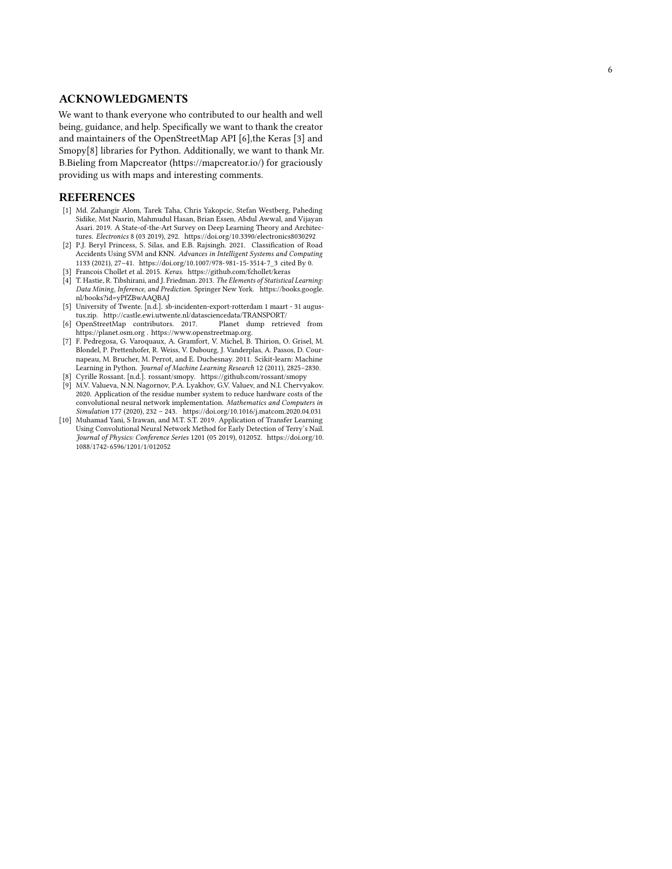### ACKNOWLEDGMENTS

We want to thank everyone who contributed to our health and well being, guidance, and help. Specifically we want to thank the creator and maintainers of the OpenStreetMap API [ [6\]](#page-5-2),the Keras [ [3\]](#page-5-8) and Smopy[ [8\]](#page-5-3) libraries for Python. Additionally, we want to thank Mr. B.Bieling from Mapcreator [\(https://mapcreator.io/\)](https://mapcreator.io/) for graciously providing us with maps and interesting comments.

#### REFERENCES

- <span id="page-5-9"></span>[1] Md. Zahangir Alom, Tarek Taha, Chris Yakopcic, Stefan Westberg, Paheding Sidike, Mst Nasrin, Mahmudul Hasan, Brian Essen, Abdul Awwal, and Vijayan Asari. 2019. A State-of-the-Art Survey on Deep Learning Theory and Architectures. Electronics 8 (03 2019), 292.<https://doi.org/10.3390/electronics8030292>
- <span id="page-5-0"></span>[2] P.J. Beryl Princess, S. Silas, and E.B. Rajsingh. 2021. Classification of Road Accidents Using SVM and KNN. Advances in Intelligent Systems and Computing 1133 (2021), 27–41. [https://doi.org/10.1007/978-981-15-3514-7\\_3](https://doi.org/10.1007/978-981-15-3514-7_3) cited By 0.
- <span id="page-5-8"></span><span id="page-5-4"></span>[3] Francois Chollet et al. 2015. Keras.<https://github.com/fchollet/keras> [4] T. Hastie, R. Tibshirani, and J. Friedman. 2013. The Elements of Statistical Learning:
- Data Mining, Inference, and Prediction. Springer New York. [https://books.google.](https://books.google.nl/books?id=yPfZBwAAQBAJ) [nl/books?id=yPfZBwAAQBAJ](https://books.google.nl/books?id=yPfZBwAAQBAJ)
- <span id="page-5-1"></span>[5] University of Twente. [n.d.]. sb-incidenten-export-rotterdam 1 maart - 31 augustus.zip.<http://castle.ewi.utwente.nl/datasciencedata/TRANSPORT/>
- <span id="page-5-2"></span>[6] OpenStreetMap contributors. 2017. https://planet.osm.org . [https://www.openstreetmap.org.]( https://www.openstreetmap.org )
- <span id="page-5-5"></span>[7] F. Pedregosa, G. Varoquaux, A. Gramfort, V. Michel, B. Thirion, O. Grisel, M. Blondel, P. Prettenhofer, R. Weiss, V. Dubourg, J. Vanderplas, A. Passos, D. Cournapeau, M. Brucher, M. Perrot, and E. Duchesnay. 2011. Scikit-learn: Machine Learning in Python. Journal of Machine Learning Research 12 (2011), 2825–2830. [8] Cyrille Rossant. [n.d.]. rossant/smopy.<https://github.com/rossant/smopy>
- <span id="page-5-6"></span><span id="page-5-3"></span>[9] M.V. Valueva, N.N. Nagornov, P.A. Lyakhov, G.V. Valuev, and N.I. Chervyakov. 2020. Application of the residue number system to reduce hardware costs of the convolutional neural network implementation. Mathematics and Computers in Simulation 177 (2020), 232 – 243.<https://doi.org/10.1016/j.matcom.2020.04.031>
- <span id="page-5-7"></span>[10] Muhamad Yani, S Irawan, and M.T. S.T. 2019. Application of Transfer Learning Using Convolutional Neural Network Method for Early Detection of Terry's Nail. Journal of Physics: Conference Series 1201 (05 2019), 012052. [https://doi.org/10.](https://doi.org/10.1088/1742-6596/1201/1/012052) [1088/1742-6596/1201/1/012052](https://doi.org/10.1088/1742-6596/1201/1/012052)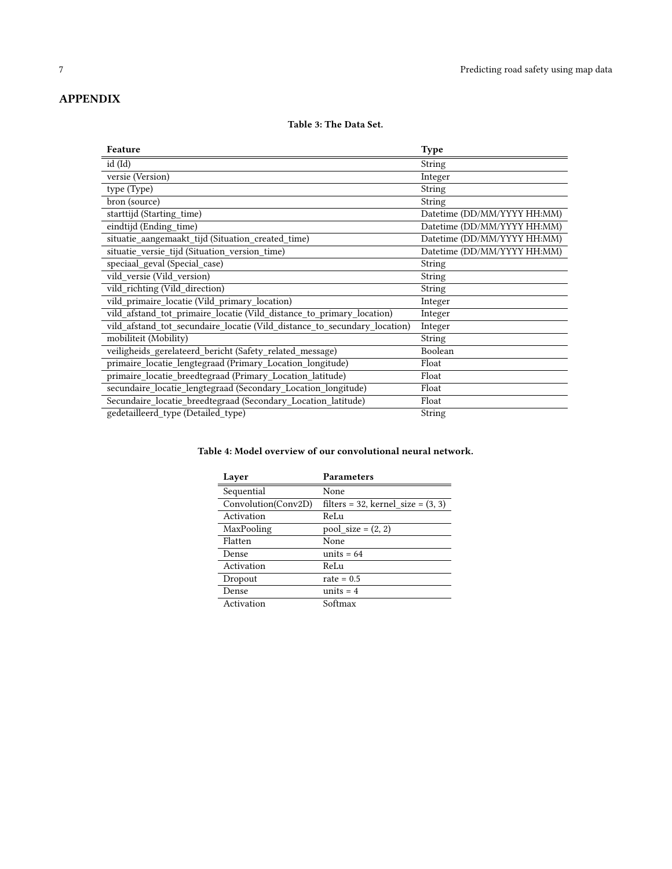# <span id="page-6-0"></span>APPENDIX

### Table 3: The Data Set.

| Feature                                                                   | <b>Type</b>                 |
|---------------------------------------------------------------------------|-----------------------------|
| id (Id)                                                                   | String                      |
| versie (Version)                                                          | Integer                     |
| type (Type)                                                               | String                      |
| bron (source)                                                             | String                      |
| starttijd (Starting_time)                                                 | Datetime (DD/MM/YYYY HH:MM) |
| eindtijd (Ending_time)                                                    | Datetime (DD/MM/YYYY HH:MM) |
| situatie_aangemaakt_tijd (Situation_created_time)                         | Datetime (DD/MM/YYYY HH:MM) |
| situatie_versie_tijd (Situation_version_time)                             | Datetime (DD/MM/YYYY HH:MM) |
| speciaal_geval (Special_case)                                             | <b>String</b>               |
| vild_versie (Vild_version)                                                | <b>String</b>               |
| vild_richting (Vild_direction)                                            | <b>String</b>               |
| vild_primaire_locatie (Vild_primary_location)                             | Integer                     |
| vild_afstand_tot_primaire_locatie (Vild_distance_to_primary_location)     | Integer                     |
| vild_afstand_tot_secundaire_locatie (Vild_distance_to_secundary_location) | Integer                     |
| mobiliteit (Mobility)                                                     | String                      |
| veiligheids_gerelateerd_bericht (Safety_related_message)                  | Boolean                     |
| primaire_locatie_lengtegraad (Primary_Location_longitude)                 | Float                       |
| primaire_locatie_breedtegraad (Primary_Location_latitude)                 | Float                       |
| secundaire_locatie_lengtegraad (Secondary_Location_longitude)             | Float                       |
| Secundaire_locatie_breedtegraad (Secondary_Location_latitude)             | Float                       |
| gedetailleerd type (Detailed type)                                        | String                      |

## <span id="page-6-1"></span>Table 4: Model overview of our convolutional neural network.

| Layer               | <b>Parameters</b>                    |
|---------------------|--------------------------------------|
| Sequential          | None                                 |
| Convolution(Conv2D) | filters = 32, kernel size = $(3, 3)$ |
| Activation          | ReLu                                 |
| MaxPooling          | $pool_size = (2, 2)$                 |
| Flatten             | None                                 |
| Dense               | units $= 64$                         |
| Activation          | ReLu                                 |
| Dropout             | rate $= 0.5$                         |
| Dense               | units $= 4$                          |
| Activation          | Softmax                              |